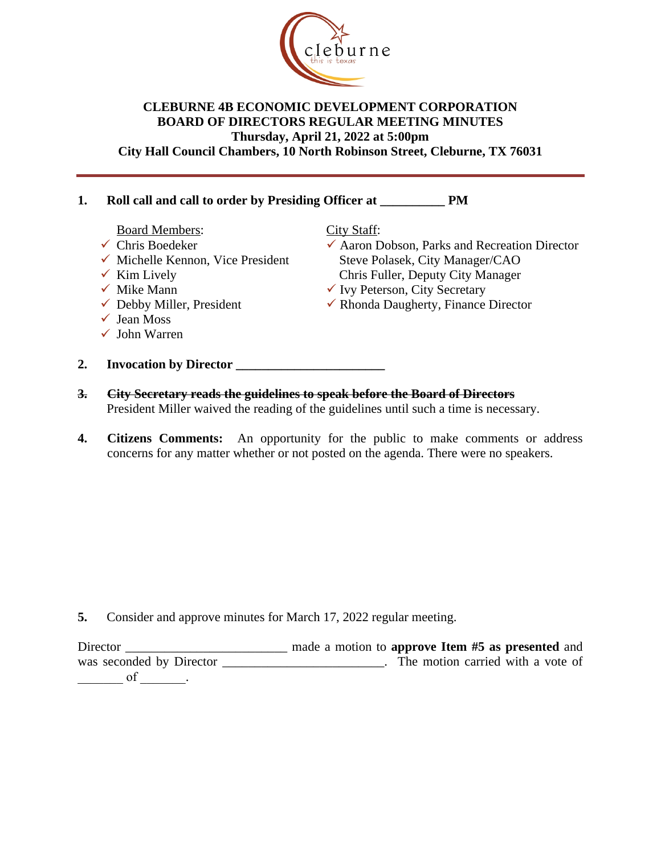

### **CLEBURNE 4B ECONOMIC DEVELOPMENT CORPORATION BOARD OF DIRECTORS REGULAR MEETING MINUTES Thursday, April 21, 2022 at 5:00pm City Hall Council Chambers, 10 North Robinson Street, Cleburne, TX 76031**

# **1. Roll call and call to order by Presiding Officer at \_\_\_\_\_\_\_\_\_\_ PM**

Board Members:

- $\checkmark$  Chris Boedeker
- $\checkmark$  Michelle Kennon, Vice President

**2. Invocation by Director \_\_\_\_\_\_\_\_\_\_\_\_\_\_\_\_\_\_\_\_\_\_\_**

- $\checkmark$  Kim Lively
- $\checkmark$  Mike Mann
- $\checkmark$  Debby Miller, President
- $\checkmark$  Jean Moss
- $\checkmark$  John Warren

City Staff:

- $\checkmark$  Aaron Dobson, Parks and Recreation Director Steve Polasek, City Manager/CAO Chris Fuller, Deputy City Manager
- $\checkmark$  Ivy Peterson, City Secretary
- $\checkmark$  Rhonda Daugherty, Finance Director
- **3. City Secretary reads the guidelines to speak before the Board of Directors** President Miller waived the reading of the guidelines until such a time is necessary.
- **4. Citizens Comments:** An opportunity for the public to make comments or address concerns for any matter whether or not posted on the agenda. There were no speakers.

**5.** Consider and approve minutes for March 17, 2022 regular meeting.

Director \_\_\_\_\_\_\_\_\_\_\_\_\_\_\_\_\_\_\_\_\_\_\_\_\_ made a motion to **approve Item #5 as presented** and was seconded by Director \_\_\_\_\_\_\_\_\_\_\_\_\_\_\_\_\_\_\_\_\_\_\_\_\_\_. The motion carried with a vote of  $\overline{\phantom{a}}$  of  $\overline{\phantom{a}}$ .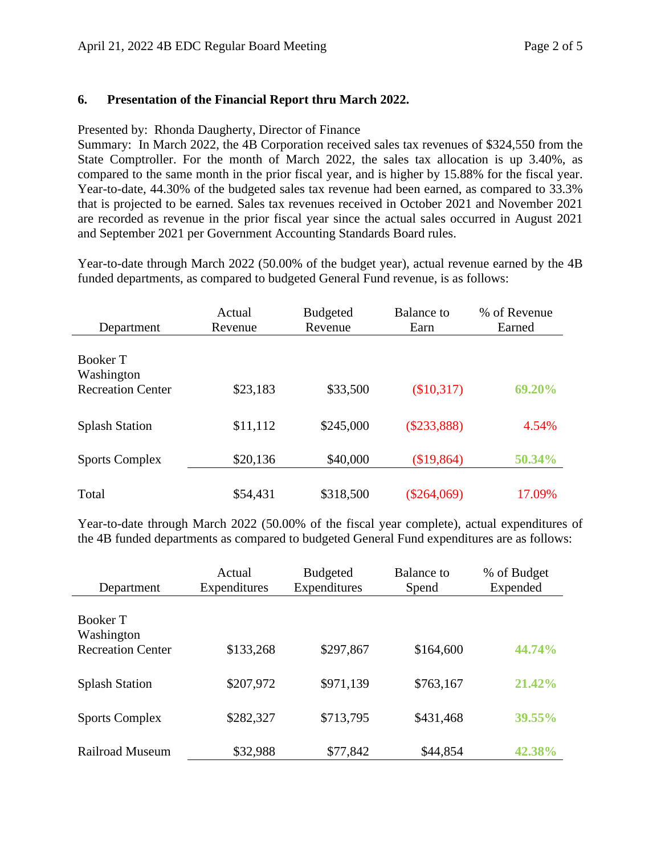### **6. Presentation of the Financial Report thru March 2022.**

#### Presented by: Rhonda Daugherty, Director of Finance

Summary: In March 2022, the 4B Corporation received sales tax revenues of \$324,550 from the State Comptroller. For the month of March 2022, the sales tax allocation is up 3.40%, as compared to the same month in the prior fiscal year, and is higher by 15.88% for the fiscal year. Year-to-date, 44.30% of the budgeted sales tax revenue had been earned, as compared to 33.3% that is projected to be earned. Sales tax revenues received in October 2021 and November 2021 are recorded as revenue in the prior fiscal year since the actual sales occurred in August 2021 and September 2021 per Government Accounting Standards Board rules.

Year-to-date through March 2022 (50.00% of the budget year), actual revenue earned by the 4B funded departments, as compared to budgeted General Fund revenue, is as follows:

| Department                                         | Actual<br>Revenue | <b>Budgeted</b><br>Revenue | <b>Balance</b> to<br>Earn | % of Revenue<br>Earned |
|----------------------------------------------------|-------------------|----------------------------|---------------------------|------------------------|
| Booker T<br>Washington<br><b>Recreation Center</b> | \$23,183          | \$33,500                   | (\$10,317)                | 69.20%                 |
| <b>Splash Station</b>                              | \$11,112          | \$245,000                  | $(\$233,888)$             | 4.54%                  |
| <b>Sports Complex</b>                              | \$20,136          | \$40,000                   | \$19,864                  | 50.34%                 |
| Total                                              | \$54,431          | \$318,500                  | $(\$264,069)$             | 17.09%                 |

Year-to-date through March 2022 (50.00% of the fiscal year complete), actual expenditures of the 4B funded departments as compared to budgeted General Fund expenditures are as follows:

| Department                                         | Actual<br>Expenditures | <b>Budgeted</b><br>Expenditures | <b>Balance</b> to<br>Spend | % of Budget<br>Expended |
|----------------------------------------------------|------------------------|---------------------------------|----------------------------|-------------------------|
| Booker T<br>Washington<br><b>Recreation Center</b> | \$133,268              | \$297,867                       | \$164,600                  | 44.74%                  |
|                                                    | \$207,972              | \$971,139                       |                            | 21.42%                  |
| <b>Splash Station</b><br><b>Sports Complex</b>     | \$282,327              | \$713,795                       | \$763,167<br>\$431,468     | 39.55%                  |
| <b>Railroad Museum</b>                             | \$32,988               | \$77,842                        | \$44,854                   | 42.38%                  |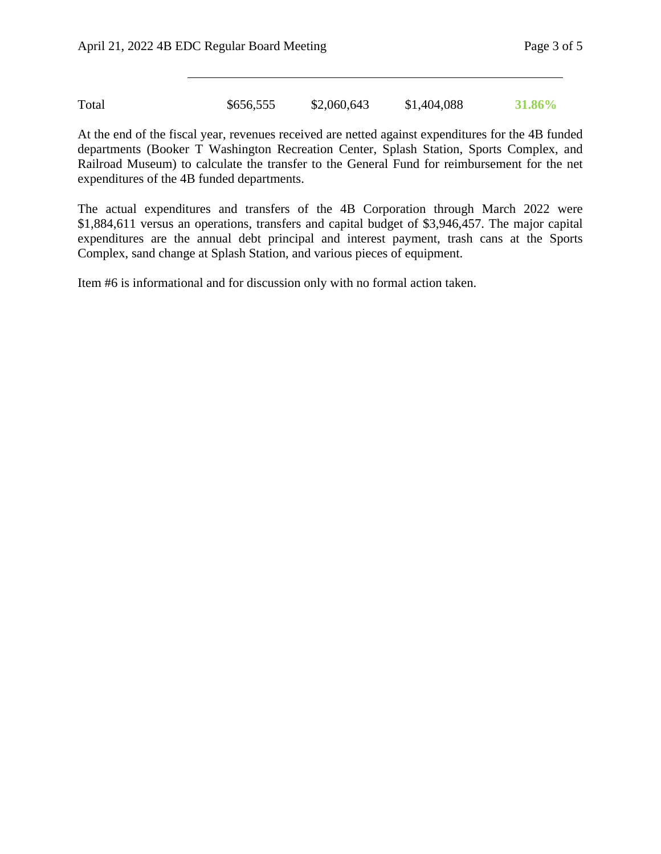Total \$656,555 \$2,060,643 \$1,404,088 **31.86%**

At the end of the fiscal year, revenues received are netted against expenditures for the 4B funded departments (Booker T Washington Recreation Center, Splash Station, Sports Complex, and Railroad Museum) to calculate the transfer to the General Fund for reimbursement for the net expenditures of the 4B funded departments.

The actual expenditures and transfers of the 4B Corporation through March 2022 were \$1,884,611 versus an operations, transfers and capital budget of \$3,946,457. The major capital expenditures are the annual debt principal and interest payment, trash cans at the Sports Complex, sand change at Splash Station, and various pieces of equipment.

Item #6 is informational and for discussion only with no formal action taken.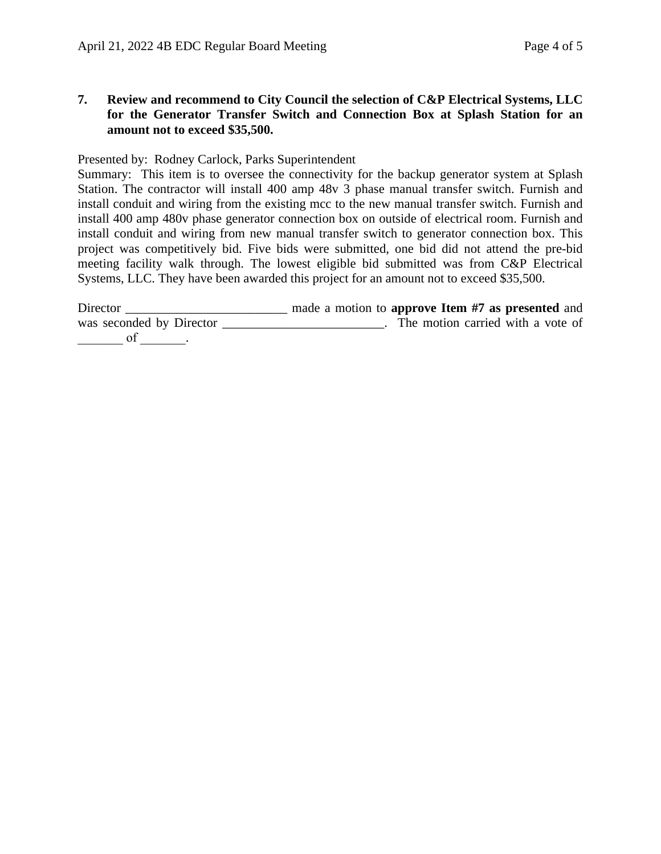**7. Review and recommend to City Council the selection of C&P Electrical Systems, LLC for the Generator Transfer Switch and Connection Box at Splash Station for an amount not to exceed \$35,500.**

Presented by: Rodney Carlock, Parks Superintendent

Summary: This item is to oversee the connectivity for the backup generator system at Splash Station. The contractor will install 400 amp 48v 3 phase manual transfer switch. Furnish and install conduit and wiring from the existing mcc to the new manual transfer switch. Furnish and install 400 amp 480v phase generator connection box on outside of electrical room. Furnish and install conduit and wiring from new manual transfer switch to generator connection box. This project was competitively bid. Five bids were submitted, one bid did not attend the pre-bid meeting facility walk through. The lowest eligible bid submitted was from C&P Electrical Systems, LLC. They have been awarded this project for an amount not to exceed \$35,500.

| Director                 | made a motion to approve Item #7 as presented and |
|--------------------------|---------------------------------------------------|
| was seconded by Director | The motion carried with a vote of                 |
|                          |                                                   |